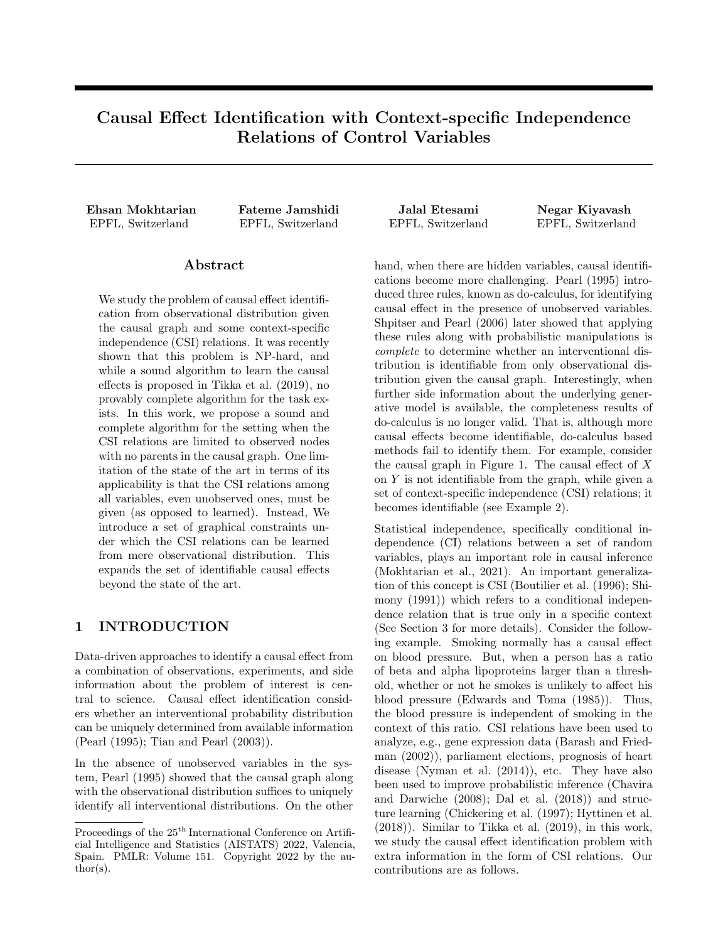# Causal Effect Identification with Context-specific Independence Relations of Control Variables

Ehsan Mokhtarian Fateme Jamshidi Jalal Etesami Negar Kiyavash EPFL, Switzerland EPFL, Switzerland EPFL, Switzerland EPFL, Switzerland

## Abstract

We study the problem of causal effect identification from observational distribution given the causal graph and some context-specific independence (CSI) relations. It was recently shown that this problem is NP-hard, and while a sound algorithm to learn the causal effects is proposed in Tikka et al. (2019), no provably complete algorithm for the task exists. In this work, we propose a sound and complete algorithm for the setting when the CSI relations are limited to observed nodes with no parents in the causal graph. One limitation of the state of the art in terms of its applicability is that the CSI relations among all variables, even unobserved ones, must be given (as opposed to learned). Instead, We introduce a set of graphical constraints under which the CSI relations can be learned from mere observational distribution. This expands the set of identifiable causal effects beyond the state of the art.

# 1 INTRODUCTION

Data-driven approaches to identify a causal effect from a combination of observations, experiments, and side information about the problem of interest is central to science. Causal effect identification considers whether an interventional probability distribution can be uniquely determined from available information (Pearl (1995); Tian and Pearl (2003)).

In the absence of unobserved variables in the system, Pearl (1995) showed that the causal graph along with the observational distribution suffices to uniquely identify all interventional distributions. On the other

hand, when there are hidden variables, causal identifications become more challenging. Pearl (1995) introduced three rules, known as do-calculus, for identifying causal effect in the presence of unobserved variables. Shpitser and Pearl (2006) later showed that applying these rules along with probabilistic manipulations is complete to determine whether an interventional distribution is identifiable from only observational distribution given the causal graph. Interestingly, when further side information about the underlying generative model is available, the completeness results of do-calculus is no longer valid. That is, although more causal effects become identifiable, do-calculus based methods fail to identify them. For example, consider the causal graph in Figure 1. The causal effect of  $X$ on  $Y$  is not identifiable from the graph, while given a set of context-specific independence (CSI) relations; it becomes identifiable (see Example 2).

Statistical independence, specifically conditional independence (CI) relations between a set of random variables, plays an important role in causal inference (Mokhtarian et al., 2021). An important generalization of this concept is CSI (Boutilier et al. (1996); Shimony (1991)) which refers to a conditional independence relation that is true only in a specific context (See Section 3 for more details). Consider the following example. Smoking normally has a causal effect on blood pressure. But, when a person has a ratio of beta and alpha lipoproteins larger than a threshold, whether or not he smokes is unlikely to affect his blood pressure (Edwards and Toma (1985)). Thus, the blood pressure is independent of smoking in the context of this ratio. CSI relations have been used to analyze, e.g., gene expression data (Barash and Friedman (2002)), parliament elections, prognosis of heart disease (Nyman et al. (2014)), etc. They have also been used to improve probabilistic inference (Chavira and Darwiche (2008); Dal et al. (2018)) and structure learning (Chickering et al. (1997); Hyttinen et al. (2018)). Similar to Tikka et al. (2019), in this work, we study the causal effect identification problem with extra information in the form of CSI relations. Our contributions are as follows.

Proceedings of the  $25<sup>th</sup>$  International Conference on Artificial Intelligence and Statistics (AISTATS) 2022, Valencia, Spain. PMLR: Volume 151. Copyright 2022 by the au- $\text{thor}(s)$ .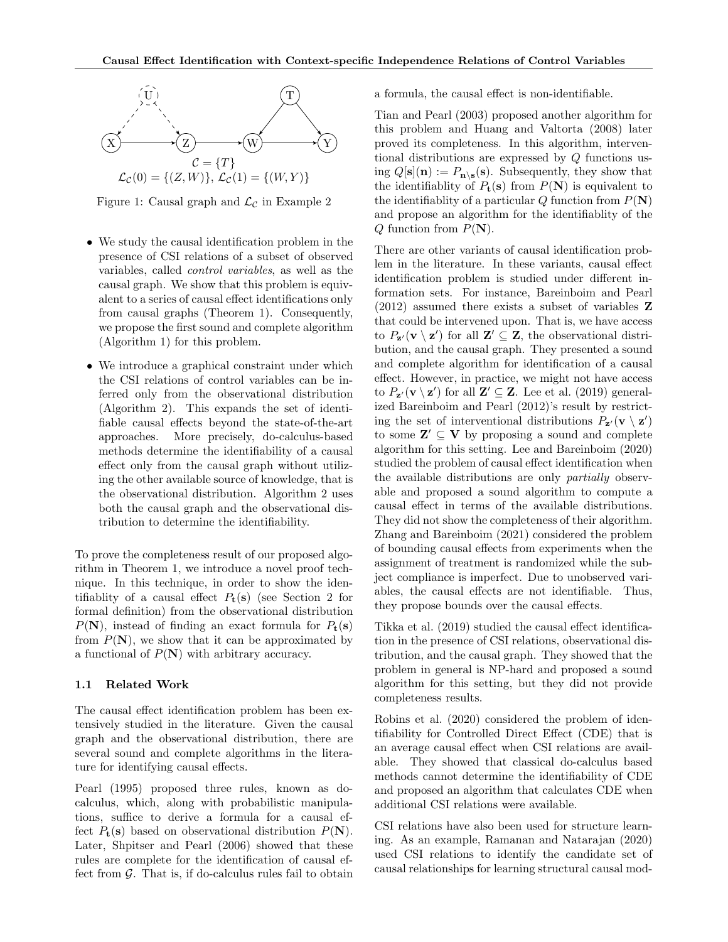

Figure 1: Causal graph and  $\mathcal{L}_{\mathcal{C}}$  in Example 2

- We study the causal identification problem in the presence of CSI relations of a subset of observed variables, called control variables, as well as the causal graph. We show that this problem is equivalent to a series of causal effect identifications only from causal graphs (Theorem 1). Consequently, we propose the first sound and complete algorithm (Algorithm 1) for this problem.
- We introduce a graphical constraint under which the CSI relations of control variables can be inferred only from the observational distribution (Algorithm 2). This expands the set of identifiable causal effects beyond the state-of-the-art approaches. More precisely, do-calculus-based methods determine the identifiability of a causal effect only from the causal graph without utilizing the other available source of knowledge, that is the observational distribution. Algorithm 2 uses both the causal graph and the observational distribution to determine the identifiability.

To prove the completeness result of our proposed algorithm in Theorem 1, we introduce a novel proof technique. In this technique, in order to show the identifiablity of a causal effect  $P_t(s)$  (see Section 2 for formal definition) from the observational distribution  $P(N)$ , instead of finding an exact formula for  $P_t(s)$ from  $P(N)$ , we show that it can be approximated by a functional of  $P(N)$  with arbitrary accuracy.

#### 1.1 Related Work

The causal effect identification problem has been extensively studied in the literature. Given the causal graph and the observational distribution, there are several sound and complete algorithms in the literature for identifying causal effects.

Pearl (1995) proposed three rules, known as docalculus, which, along with probabilistic manipulations, suffice to derive a formula for a causal effect  $P_t(\mathbf{s})$  based on observational distribution  $P(\mathbf{N})$ . Later, Shpitser and Pearl (2006) showed that these rules are complete for the identification of causal effect from  $\mathcal G$ . That is, if do-calculus rules fail to obtain a formula, the causal effect is non-identifiable.

Tian and Pearl (2003) proposed another algorithm for this problem and Huang and Valtorta (2008) later proved its completeness. In this algorithm, interventional distributions are expressed by  $Q$  functions using  $Q[\mathbf{s}](\mathbf{n}) := P_{\mathbf{n}\setminus \mathbf{s}}(\mathbf{s})$ . Subsequently, they show that the identifiablity of  $P_t(\mathbf{s})$  from  $P(\mathbf{N})$  is equivalent to the identifiablity of a particular Q function from  $P(\mathbf{N})$ and propose an algorithm for the identifiablity of the  $Q$  function from  $P(N)$ .

There are other variants of causal identification problem in the literature. In these variants, causal effect identification problem is studied under different information sets. For instance, Bareinboim and Pearl (2012) assumed there exists a subset of variables Z that could be intervened upon. That is, we have access to  $P_{\mathbf{z}}(\mathbf{v} \setminus \mathbf{z}')$  for all  $\mathbf{Z}' \subseteq \mathbf{Z}$ , the observational distribution, and the causal graph. They presented a sound and complete algorithm for identification of a causal effect. However, in practice, we might not have access to  $P_{\mathbf{z}}(\mathbf{v} \setminus \mathbf{z}')$  for all  $\mathbf{Z}' \subseteq \mathbf{Z}$ . Lee et al. (2019) generalized Bareinboim and Pearl (2012)'s result by restricting the set of interventional distributions  $P_{\mathbf{z}}(\mathbf{v} \setminus \mathbf{z}')$ to some  $\mathbf{Z}' \subseteq \mathbf{V}$  by proposing a sound and complete algorithm for this setting. Lee and Bareinboim (2020) studied the problem of causal effect identification when the available distributions are only partially observable and proposed a sound algorithm to compute a causal effect in terms of the available distributions. They did not show the completeness of their algorithm. Zhang and Bareinboim (2021) considered the problem of bounding causal effects from experiments when the assignment of treatment is randomized while the subject compliance is imperfect. Due to unobserved variables, the causal effects are not identifiable. Thus, they propose bounds over the causal effects.

Tikka et al. (2019) studied the causal effect identification in the presence of CSI relations, observational distribution, and the causal graph. They showed that the problem in general is NP-hard and proposed a sound algorithm for this setting, but they did not provide completeness results.

Robins et al. (2020) considered the problem of identifiability for Controlled Direct Effect (CDE) that is an average causal effect when CSI relations are available. They showed that classical do-calculus based methods cannot determine the identifiability of CDE and proposed an algorithm that calculates CDE when additional CSI relations were available.

CSI relations have also been used for structure learning. As an example, Ramanan and Natarajan (2020) used CSI relations to identify the candidate set of causal relationships for learning structural causal mod-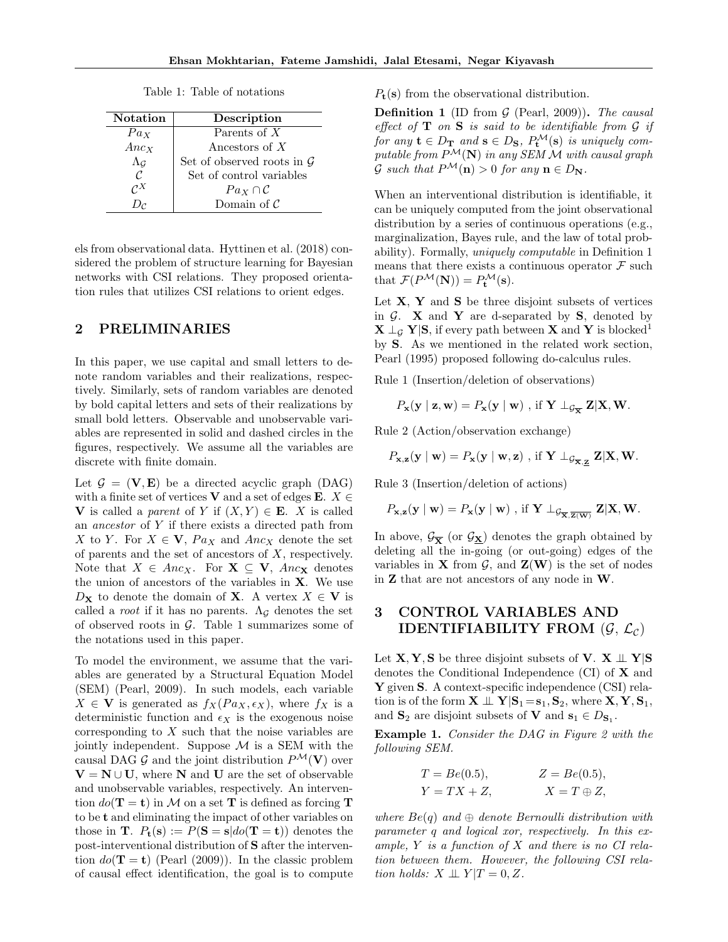Table 1: Table of notations

| <b>Notation</b>         | Description                           |  |  |  |  |
|-------------------------|---------------------------------------|--|--|--|--|
| $Pa_X$                  | Parents of $X$                        |  |  |  |  |
| $Anc_X$                 | Ancestors of $X$                      |  |  |  |  |
| $\Lambda_{\mathcal{G}}$ | Set of observed roots in $\mathcal G$ |  |  |  |  |
| $\mathcal{C}$           | Set of control variables              |  |  |  |  |
| $\mathcal{C}^X$         | $Pa_X \cap C$                         |  |  |  |  |
| ہ ( ا                   | Domain of $\mathcal C$                |  |  |  |  |

els from observational data. Hyttinen et al. (2018) considered the problem of structure learning for Bayesian networks with CSI relations. They proposed orientation rules that utilizes CSI relations to orient edges.

## 2 PRELIMINARIES

In this paper, we use capital and small letters to denote random variables and their realizations, respectively. Similarly, sets of random variables are denoted by bold capital letters and sets of their realizations by small bold letters. Observable and unobservable variables are represented in solid and dashed circles in the figures, respectively. We assume all the variables are discrete with finite domain.

Let  $\mathcal{G} = (\mathbf{V}, \mathbf{E})$  be a directed acyclic graph (DAG) with a finite set of vertices **V** and a set of edges **E**.  $X \in$ V is called a parent of Y if  $(X, Y) \in E$ . X is called an ancestor of Y if there exists a directed path from X to Y. For  $X \in V$ ,  $Pa_X$  and  $Anc_X$  denote the set of parents and the set of ancestors of  $X$ , respectively. Note that  $X \in \text{Anc}_X$ . For  $X \subseteq V$ , Anc<sub>x</sub> denotes the union of ancestors of the variables in  $X$ . We use  $D_{\mathbf{X}}$  to denote the domain of **X**. A vertex  $X \in \mathbf{V}$  is called a *root* if it has no parents.  $\Lambda_{\mathcal{G}}$  denotes the set of observed roots in  $\mathcal{G}$ . Table 1 summarizes some of the notations used in this paper.

To model the environment, we assume that the variables are generated by a Structural Equation Model (SEM) (Pearl, 2009). In such models, each variable  $X \in V$  is generated as  $f_X(Pa_X, \epsilon_X)$ , where  $f_X$  is a deterministic function and  $\epsilon_X$  is the exogenous noise corresponding to  $X$  such that the noise variables are jointly independent. Suppose  $M$  is a SEM with the causal DAG G and the joint distribution  $P^{\mathcal{M}}(\mathbf{V})$  over  $V = N \cup U$ , where N and U are the set of observable and unobservable variables, respectively. An intervention  $do(T = t)$  in M on a set T is defined as forcing T to be t and eliminating the impact of other variables on those in **T**.  $P_t(\mathbf{s}) := P(\mathbf{S} = \mathbf{s}|do(\mathbf{T} = \mathbf{t}))$  denotes the post-interventional distribution of S after the intervention  $do(\mathbf{T} = \mathbf{t})$  (Pearl (2009)). In the classic problem of causal effect identification, the goal is to compute  $P_t(\mathbf{s})$  from the observational distribution.

**Definition 1** (ID from  $G$  (Pearl, 2009)). The causal effect of  $T$  on  $S$  is said to be identifiable from  $G$  if for any  $\mathbf{t} \in D_{\mathbf{T}}$  and  $\mathbf{s} \in D_{\mathbf{S}}$ ,  $P_{\mathbf{t}}^{\mathcal{M}}(\mathbf{s})$  is uniquely computable from  $P^{\mathcal{M}}(\mathbf{N})$  in any SEM M with causal graph  $\mathcal G$  such that  $P^{\mathcal M}(\mathbf n) > 0$  for any  $\mathbf n \in D_{\mathbf N}$ .

When an interventional distribution is identifiable, it can be uniquely computed from the joint observational distribution by a series of continuous operations (e.g., marginalization, Bayes rule, and the law of total probability). Formally, uniquely computable in Definition 1 means that there exists a continuous operator  $\mathcal F$  such that  $\mathcal{F}(P^{\mathcal{M}}(\mathbf{N})) = P_{\mathbf{t}}^{\mathcal{M}}(\mathbf{s}).$ 

Let  $X, Y$  and  $S$  be three disjoint subsets of vertices in  $\mathcal{G}$ . **X** and **Y** are d-separated by **S**, denoted by  $\mathbf{X} \perp_G \mathbf{Y} | \mathbf{S}$ , if every path between  $\mathbf{X}$  and  $\mathbf{Y}$  is blocked<sup>1</sup> by S. As we mentioned in the related work section, Pearl (1995) proposed following do-calculus rules.

Rule 1 (Insertion/deletion of observations)

$$
P_{\mathbf{x}}(\mathbf{y} \mid \mathbf{z}, \mathbf{w}) = P_{\mathbf{x}}(\mathbf{y} \mid \mathbf{w})
$$
, if  $\mathbf{Y} \perp_{\mathcal{G}_{\overline{\mathbf{X}}}} \mathbf{Z} | \mathbf{X}, \mathbf{W}$ .

Rule 2 (Action/observation exchange)

$$
P_{\mathbf{x},\mathbf{z}}(\mathbf{y} \mid \mathbf{w}) = P_{\mathbf{x}}(\mathbf{y} \mid \mathbf{w}, \mathbf{z})
$$
, if  $\mathbf{Y} \perp_{\mathcal{G}_{\overline{\mathbf{X}},\mathbf{Z}}}\mathbf{Z}|\mathbf{X}, \mathbf{W}$ .

Rule 3 (Insertion/deletion of actions)

$$
P_{\mathbf{x},\mathbf{z}}(\mathbf{y} \mid \mathbf{w}) = P_{\mathbf{x}}(\mathbf{y} \mid \mathbf{w})
$$
, if  $\mathbf{Y} \perp_{\mathcal{G}_{\overline{\mathbf{X}},\overline{\mathbf{Z}(\mathbf{W})}}}\mathbf{Z}|\mathbf{X},\mathbf{W}$ .

In above,  $\mathcal{G}_{\overline{\mathbf{X}}}$  (or  $\mathcal{G}_{\mathbf{X}}$ ) denotes the graph obtained by deleting all the in-going (or out-going) edges of the variables in **X** from  $\mathcal{G}$ , and **Z(W)** is the set of nodes in Z that are not ancestors of any node in W.

# 3 CONTROL VARIABLES AND IDENTIFIABILITY FROM  $(\mathcal{G}, \mathcal{L}_{\mathcal{C}})$

Let  $X, Y, S$  be three disjoint subsets of V.  $X \perp \!\!\!\perp Y|S$ denotes the Conditional Independence (CI) of X and Y given S. A context-specific independence (CSI) relation is of the form  $\mathbf{X} \perp \!\!\! \perp \mathbf{Y} | \mathbf{S}_1 = \mathbf{s}_1, \mathbf{S}_2$ , where  $\mathbf{X}, \mathbf{Y}, \mathbf{S}_1$ , and  $\mathbf{S}_2$  are disjoint subsets of **V** and  $\mathbf{s}_1 \in D_{\mathbf{S}_1}$ .

Example 1. Consider the DAG in Figure 2 with the following SEM.

$$
T = Be(0.5), \t Z = Be(0.5),
$$
  
\n
$$
Y = TX + Z, \t X = T \oplus Z,
$$

where  $Be(q)$  and  $\oplus$  denote Bernoulli distribution with parameter q and logical xor, respectively. In this example,  $Y$  is a function of  $X$  and there is no  $CI$  relation between them. However, the following CSI relation holds:  $X \perp \!\!\! \perp Y | T = 0, Z$ .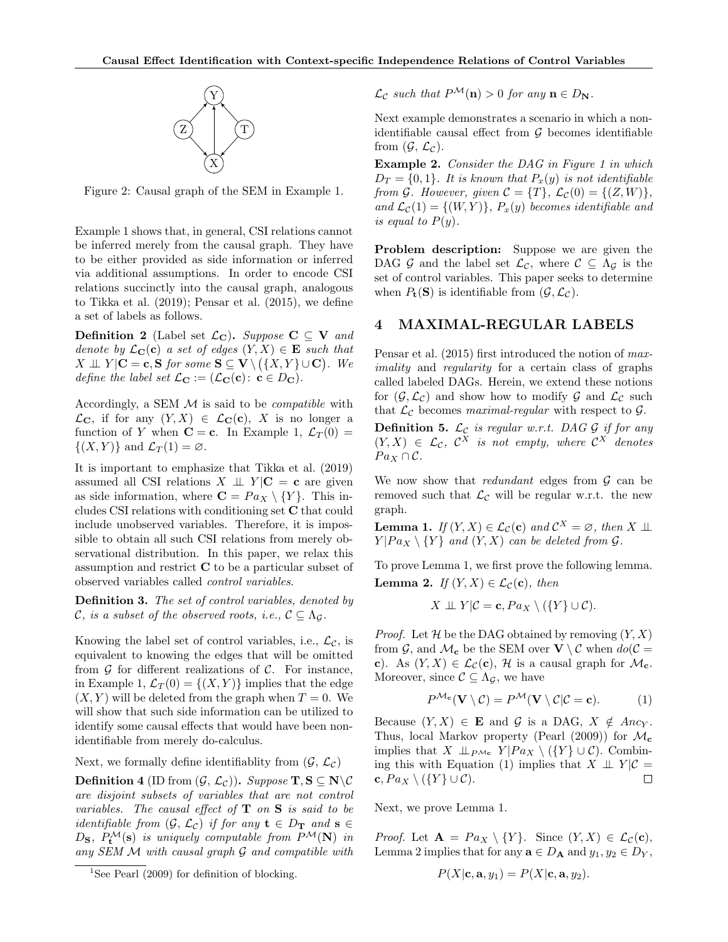

Figure 2: Causal graph of the SEM in Example 1.

Example 1 shows that, in general, CSI relations cannot be inferred merely from the causal graph. They have to be either provided as side information or inferred via additional assumptions. In order to encode CSI relations succinctly into the causal graph, analogous to Tikka et al. (2019); Pensar et al. (2015), we define a set of labels as follows.

**Definition 2** (Label set  $\mathcal{L}_{\mathbf{C}}$ ). Suppose  $\mathbf{C} \subseteq \mathbf{V}$  and denote by  $\mathcal{L}_{\mathbf{C}}(\mathbf{c})$  a set of edges  $(Y, X) \in \mathbf{E}$  such that  $X \perp\!\!\!\perp Y | \mathbf{C} = \mathbf{c}, \mathbf{S} \text{ for some } \mathbf{S} \subseteq \mathbf{V} \setminus (\{X, Y\} \cup \mathbf{C})$ . We define the label set  $\mathcal{L}_{\mathbf{C}} := (\mathcal{L}_{\mathbf{C}}(\mathbf{c}) : \mathbf{c} \in D_{\mathbf{C}}).$ 

Accordingly, a SEM  $M$  is said to be *compatible* with  $\mathcal{L}_{\mathbf{C}}$ , if for any  $(Y, X) \in \mathcal{L}_{\mathbf{C}}(\mathbf{c}), X$  is no longer a function of Y when  $C = c$ . In Example 1,  $\mathcal{L}_T(0) =$  $\{(X,Y)\}\$ and  $\mathcal{L}_T(1) = \emptyset$ .

It is important to emphasize that Tikka et al. (2019) assumed all CSI relations  $X \perp\!\!\!\perp Y | \mathbf{C} = \mathbf{c}$  are given as side information, where  $\mathbf{C} = Pa_X \setminus \{Y\}$ . This includes CSI relations with conditioning set C that could include unobserved variables. Therefore, it is impossible to obtain all such CSI relations from merely observational distribution. In this paper, we relax this assumption and restrict  $C$  to be a particular subset of observed variables called control variables.

Definition 3. The set of control variables, denoted by C, is a subset of the observed roots, i.e.,  $C \subseteq \Lambda_G$ .

Knowing the label set of control variables, i.e.,  $\mathcal{L}_{\mathcal{C}}$ , is equivalent to knowing the edges that will be omitted from  $\mathcal G$  for different realizations of  $\mathcal C$ . For instance, in Example 1,  $\mathcal{L}_T(0) = \{(X, Y)\}\$ implies that the edge  $(X, Y)$  will be deleted from the graph when  $T = 0$ . We will show that such side information can be utilized to identify some causal effects that would have been nonidentifiable from merely do-calculus.

Next, we formally define identifiablity from  $(\mathcal{G}, \mathcal{L}_{\mathcal{C}})$ 

**Definition 4** (ID from  $(\mathcal{G}, \mathcal{L}_{\mathcal{C}})$ ). Suppose  $\mathbf{T}, \mathbf{S} \subseteq \mathbf{N} \backslash \mathcal{C}$ are disjoint subsets of variables that are not control variables. The causal effect of  $T$  on  $S$  is said to be *identifiable from*  $(\mathcal{G}, \mathcal{L}_{\mathcal{C}})$  *if for any*  $\mathbf{t} \in D_{\mathbf{T}}$  *and*  $\mathbf{s} \in$  $D_{\mathbf{S}}, P_{\mathbf{t}}^{\mathcal{M}}(\mathbf{s})$  is uniquely computable from  $P^{\mathcal{M}}(\mathbf{N})$  in any SEM  $M$  with causal graph  $G$  and compatible with  $\mathcal{L}_{\mathcal{C}}$  such that  $P^{\mathcal{M}}(\mathbf{n}) > 0$  for any  $\mathbf{n} \in D_{\mathbf{N}}$ .

Next example demonstrates a scenario in which a nonidentifiable causal effect from  $G$  becomes identifiable from  $(\mathcal{G}, \mathcal{L}_{\mathcal{C}}).$ 

Example 2. Consider the DAG in Figure 1 in which  $D_T = \{0, 1\}$ . It is known that  $P_x(y)$  is not identifiable from G. However, given  $\mathcal{C} = \{T\}, \mathcal{L}_{\mathcal{C}}(0) = \{(Z, W)\},\$ and  $\mathcal{L}_{\mathcal{C}}(1) = \{(W, Y)\}\,$ ,  $P_x(y)$  becomes identifiable and is equal to  $P(y)$ .

Problem description: Suppose we are given the DAG G and the label set  $\mathcal{L}_{\mathcal{C}}$ , where  $\mathcal{C} \subseteq \Lambda_{\mathcal{G}}$  is the set of control variables. This paper seeks to determine when  $P_{t}(S)$  is identifiable from  $(\mathcal{G}, \mathcal{L}_{\mathcal{C}})$ .

#### 4 MAXIMAL-REGULAR LABELS

Pensar et al. (2015) first introduced the notion of maximality and regularity for a certain class of graphs called labeled DAGs. Herein, we extend these notions for  $(\mathcal{G},\mathcal{L}_{\mathcal{C}})$  and show how to modify  $\mathcal{G}$  and  $\mathcal{L}_{\mathcal{C}}$  such that  $\mathcal{L}_{\mathcal{C}}$  becomes *maximal-regular* with respect to  $\mathcal{G}$ .

**Definition 5.**  $\mathcal{L}_{\mathcal{C}}$  is regular w.r.t. DAG  $\mathcal{G}$  if for any  $(Y, X) \in \mathcal{L}_{\mathcal{C}}$ ,  $\mathcal{C}^X$  is not empty, where  $\mathcal{C}^X$  denotes  $Pa_X \cap C$ .

We now show that *redundant* edges from  $\mathcal G$  can be removed such that  $\mathcal{L}_{\mathcal{C}}$  will be regular w.r.t. the new graph.

**Lemma 1.** If  $(Y, X) \in \mathcal{L}_{\mathcal{C}}(\mathbf{c})$  and  $\mathcal{C}^X = \varnothing$ , then  $X \perp \perp$  $Y | Pa_X \setminus \{Y\}$  and  $(Y, X)$  can be deleted from  $\mathcal{G}$ .

To prove Lemma 1, we first prove the following lemma. **Lemma 2.** If  $(Y, X) \in \mathcal{L}_{\mathcal{C}}(\mathbf{c})$ , then

$$
X \perp\!\!\!\perp Y | \mathcal{C} = \mathbf{c}, Pa_X \setminus (\{Y\} \cup \mathcal{C}).
$$

*Proof.* Let  $\mathcal H$  be the DAG obtained by removing  $(Y, X)$ from  $\mathcal{G}$ , and  $\mathcal{M}_{c}$  be the SEM over  $\mathbf{V} \setminus \mathcal{C}$  when  $do(\mathcal{C} =$ c). As  $(Y, X) \in \mathcal{L}_{\mathcal{C}}(c)$ , H is a causal graph for  $\mathcal{M}_{c}$ . Moreover, since  $\mathcal{C} \subseteq \Lambda_{\mathcal{G}}$ , we have

$$
P^{\mathcal{M}_{\mathbf{c}}}(\mathbf{V} \setminus \mathcal{C}) = P^{\mathcal{M}}(\mathbf{V} \setminus \mathcal{C} | \mathcal{C} = \mathbf{c}). \tag{1}
$$

Because  $(Y, X) \in \mathbf{E}$  and  $\mathcal{G}$  is a DAG,  $X \notin \text{Anc}_Y$ . Thus, local Markov property (Pearl (2009)) for  $\mathcal{M}_{c}$ implies that  $X \perp\!\!\!\perp_{P^{\mathcal{M}_{\mathbf{c}}}} Y | Pa_X \setminus (\{Y\} \cup \mathcal{C})$ . Combining this with Equation (1) implies that  $X \perp \!\!\!\perp Y | \mathcal{C} =$  $c, Pa_X \setminus (\{Y\} \cup C).$  $\Box$ 

Next, we prove Lemma 1.

*Proof.* Let  $\mathbf{A} = Pa_X \setminus \{Y\}$ . Since  $(Y, X) \in \mathcal{L}_{\mathcal{C}}(\mathbf{c}),$ Lemma 2 implies that for any  $\mathbf{a} \in D_{\mathbf{A}}$  and  $y_1, y_2 \in D_Y$ ,

$$
P(X|\mathbf{c}, \mathbf{a}, y_1) = P(X|\mathbf{c}, \mathbf{a}, y_2).
$$

<sup>&</sup>lt;sup>1</sup>See Pearl (2009) for definition of blocking.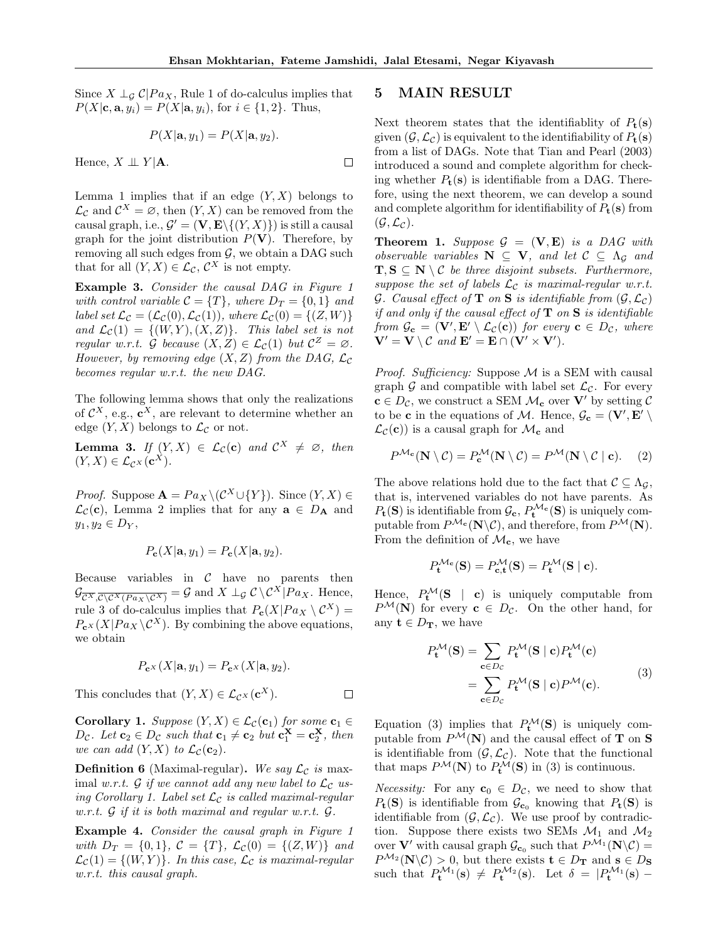$\Box$ 

Since  $X \perp_{\mathcal{G}} C|P_{a_X}$ , Rule 1 of do-calculus implies that  $P(X|\mathbf{c}, \mathbf{a}, y_i) = P(X|\mathbf{a}, y_i)$ , for  $i \in \{1, 2\}$ . Thus,

$$
P(X|\mathbf{a}, y_1) = P(X|\mathbf{a}, y_2).
$$

Hence,  $X \perp \!\!\!\perp Y | A$ .  $\Box$ 

Lemma 1 implies that if an edge  $(Y, X)$  belongs to  $\mathcal{L}_{\mathcal{C}}$  and  $\mathcal{C}^X = \varnothing$ , then  $(Y, X)$  can be removed from the causal graph, i.e.,  $\mathcal{G}' = (\mathbf{V}, \mathbf{E} \setminus \{(Y, X)\})$  is still a causal graph for the joint distribution  $P(\mathbf{V})$ . Therefore, by removing all such edges from  $G$ , we obtain a DAG such that for all  $(Y, X) \in \mathcal{L}_{\mathcal{C}}, \mathcal{C}^X$  is not empty.

Example 3. Consider the causal DAG in Figure 1 with control variable  $C = \{T\}$ , where  $D_T = \{0, 1\}$  and label set  $\mathcal{L}_{\mathcal{C}} = (\mathcal{L}_{\mathcal{C}}(0), \mathcal{L}_{\mathcal{C}}(1)),$  where  $\mathcal{L}_{\mathcal{C}}(0) = \{(Z, W)\}\$ and  $\mathcal{L}_{\mathcal{C}}(1) = \{(W, Y), (X, Z)\}.$  This label set is not regular w.r.t.  $\mathcal G$  because  $(X,Z) \in \mathcal L_{\mathcal C}(1)$  but  $\mathcal C^Z = \emptyset$ . However, by removing edge  $(X, Z)$  from the DAG,  $\mathcal{L}_{\mathcal{C}}$ becomes regular w.r.t. the new DAG.

The following lemma shows that only the realizations of  $\mathcal{C}^X$ , e.g.,  $\mathbf{c}^X$ , are relevant to determine whether an edge  $(Y, X)$  belongs to  $\mathcal{L}_{\mathcal{C}}$  or not.

**Lemma 3.** If  $(Y, X) \in \mathcal{L}_{\mathcal{C}}(\mathbf{c})$  and  $\mathcal{C}^X \neq \emptyset$ , then  $(Y, X) \in \mathcal{L}_{\mathcal{C}^X}(\mathbf{c}^X).$ 

*Proof.* Suppose  $\mathbf{A} = Pa_X \setminus (\mathcal{C}^X \cup \{Y\})$ . Since  $(Y, X) \in$  $\mathcal{L}_{\mathcal{C}}(\mathbf{c})$ , Lemma 2 implies that for any  $\mathbf{a} \in D_{\mathbf{A}}$  and  $y_1, y_2 \in D_Y$ ,

$$
P_{\mathbf{c}}(X|\mathbf{a}, y_1) = P_{\mathbf{c}}(X|\mathbf{a}, y_2).
$$

Because variables in  $C$  have no parents then  $\mathcal{G}_{\overline{\mathcal{C}^X},\overline{\mathcal{C}\setminus\mathcal{C}^X(Pa_X\setminus\mathcal{C}^X)}} = \mathcal{G}$  and  $X \perp_{\mathcal{G}} \mathcal{C}\setminus\mathcal{C}^X|Pa_X$ . Hence, rule 3 of do-calculus implies that  $P_c(X|Pa_X \setminus C^X) =$  $P_{cX}(X|Pa_X \backslash C^X)$ . By combining the above equations, we obtain

$$
P_{\mathbf{c}^X}(X|\mathbf{a},y_1) = P_{\mathbf{c}^X}(X|\mathbf{a},y_2).
$$

This concludes that  $(Y, X) \in \mathcal{L}_{\mathcal{C}^X}(\mathbf{c}^X)$ .

**Corollary 1.** Suppose  $(Y, X) \in \mathcal{L}_{\mathcal{C}}(\mathbf{c}_1)$  for some  $\mathbf{c}_1 \in$  $D_{\mathcal{C}}$ . Let  $\mathbf{c}_2 \in D_{\mathcal{C}}$  such that  $\mathbf{c}_1 \neq \mathbf{c}_2$  but  $\mathbf{c}_1^{\mathbf{X}} = \mathbf{c}_2^{\mathbf{X}}$ , then we can add  $(Y, X)$  to  $\mathcal{L}_{\mathcal{C}}(\mathbf{c}_2)$ .

**Definition 6** (Maximal-regular). We say  $\mathcal{L}_{\mathcal{C}}$  is maximal w.r.t.  $\mathcal G$  if we cannot add any new label to  $\mathcal L_{\mathcal C}$  using Corollary 1. Label set  $\mathcal{L}_{\mathcal{C}}$  is called maximal-regular w.r.t.  $\mathcal G$  if it is both maximal and regular w.r.t.  $\mathcal G$ .

Example 4. Consider the causal graph in Figure 1 with  $D_T = \{0, 1\}, \mathcal{C} = \{T\}, \mathcal{L}_{\mathcal{C}}(0) = \{(Z, W)\}$  and  $\mathcal{L}_{\mathcal{C}}(1) = \{(W, Y)\}\$ . In this case,  $\mathcal{L}_{\mathcal{C}}$  is maximal-regular w.r.t. this causal graph.

#### 5 MAIN RESULT

Next theorem states that the identifiablity of  $P_t(\mathbf{s})$ given  $(\mathcal{G},\mathcal{L}_{\mathcal{C}})$  is equivalent to the identifiability of  $P_{\mathbf{t}}(\mathbf{s})$ from a list of DAGs. Note that Tian and Pearl (2003) introduced a sound and complete algorithm for checking whether  $P_{t}(s)$  is identifiable from a DAG. Therefore, using the next theorem, we can develop a sound and complete algorithm for identifiability of  $P_t(\mathbf{s})$  from  $(\mathcal{G},\mathcal{L}_{\mathcal{C}}).$ 

**Theorem 1.** Suppose  $\mathcal{G} = (\mathbf{V}, \mathbf{E})$  is a DAG with observable variables  $\mathbf{N} \subseteq \mathbf{V}$ , and let  $\mathcal{C} \subseteq \Lambda_G$  and  $T, S \subseteq N \setminus C$  be three disjoint subsets. Furthermore, suppose the set of labels  $\mathcal{L}_{\mathcal{C}}$  is maximal-regular w.r.t. G. Causal effect of  $\mathbf T$  on  $\mathbf S$  is identifiable from  $(\mathcal G, \mathcal L_{\mathcal C})$ if and only if the causal effect of  $T$  on  $S$  is identifiable from  $\mathcal{G}_{c} = (\mathbf{V}', \mathbf{E}' \setminus \mathcal{L}_{\mathcal{C}}(c))$  for every  $c \in D_{\mathcal{C}}$ , where  $V' = V \setminus C$  and  $E' = E \cap (V' \times V')$ .

*Proof.* Sufficiency: Suppose  $M$  is a SEM with causal graph G and compatible with label set  $\mathcal{L}_{\mathcal{C}}$ . For every  $\mathbf{c} \in D_{\mathcal{C}}$ , we construct a SEM  $\mathcal{M}_{\mathbf{c}}$  over  $\mathbf{V}'$  by setting  $\mathcal{C}$ to be **c** in the equations of M. Hence,  $\mathcal{G}_c = (\mathbf{V}', \mathbf{E}')$  $\mathcal{L}_{\mathcal{C}}(\mathbf{c})$  is a causal graph for  $\mathcal{M}_{\mathbf{c}}$  and

$$
P^{\mathcal{M}_{\mathbf{c}}}(\mathbf{N}\setminus\mathcal{C})=P_{\mathbf{c}}^{\mathcal{M}}(\mathbf{N}\setminus\mathcal{C})=P^{\mathcal{M}}(\mathbf{N}\setminus\mathcal{C}\mid\mathbf{c}).\quad(2)
$$

The above relations hold due to the fact that  $\mathcal{C} \subseteq \Lambda_{\mathcal{G}}$ , that is, intervened variables do not have parents. As  $P_{\mathbf{t}}(\mathbf{S})$  is identifiable from  $\mathcal{G}_{\mathbf{c}}, P_{\mathbf{t}}^{\mathcal{M}_{\mathbf{c}}}(\mathbf{S})$  is uniquely computable from  $P^{\mathcal{M}_c}(\mathbf{N}\backslash\mathcal{C})$ , and therefore, from  $P^{\mathcal{M}}(\mathbf{N})$ . From the definition of  $\mathcal{M}_{c}$ , we have

$$
P_{\mathbf{t}}^{\mathcal{M}_{\mathbf{c}}}(\mathbf{S}) = P_{\mathbf{c}, \mathbf{t}}^{\mathcal{M}}(\mathbf{S}) = P_{\mathbf{t}}^{\mathcal{M}}(\mathbf{S} \mid \mathbf{c}).
$$

Hence,  $P_t^{\mathcal{M}}(\mathbf{S} \mid \mathbf{c})$  is uniquely computable from  $P^{\mathcal{M}}(\mathbf{N})$  for every  $\mathbf{c} \in D_{\mathcal{C}}$ . On the other hand, for any  $\mathbf{t} \in D_{\mathbf{T}}$ , we have

$$
P_{\mathbf{t}}^{\mathcal{M}}(\mathbf{S}) = \sum_{\mathbf{c} \in D_{\mathcal{C}}} P_{\mathbf{t}}^{\mathcal{M}}(\mathbf{S} \mid \mathbf{c}) P_{\mathbf{t}}^{\mathcal{M}}(\mathbf{c})
$$

$$
= \sum_{\mathbf{c} \in D_{\mathcal{C}}} P_{\mathbf{t}}^{\mathcal{M}}(\mathbf{S} \mid \mathbf{c}) P^{\mathcal{M}}(\mathbf{c}). \tag{3}
$$

Equation (3) implies that  $P_t^{\mathcal{M}}(\mathbf{S})$  is uniquely computable from  $P^{\mathcal{M}}(\mathbf{N})$  and the causal effect of **T** on **S** is identifiable from  $(\mathcal{G}, \mathcal{L}_{\mathcal{C}})$ . Note that the functional that maps  $P^{\mathcal{M}}(\mathbf{N})$  to  $P_t^{\mathcal{M}}(\mathbf{S})$  in (3) is continuous.

*Necessity:* For any  $\mathbf{c}_0 \in D_{\mathcal{C}}$ , we need to show that  $P_{t}(S)$  is identifiable from  $\mathcal{G}_{c_0}$  knowing that  $P_{t}(S)$  is identifiable from  $(\mathcal{G}, \mathcal{L}_{\mathcal{C}})$ . We use proof by contradiction. Suppose there exists two SEMs  $\mathcal{M}_1$  and  $\mathcal{M}_2$ over **V'** with causal graph  $\mathcal{G}_{\mathbf{c}_0}$  such that  $P^{\mathcal{M}_1}(\mathbf{N}\setminus\mathcal{C}) =$  $P^{\mathcal{M}_2}(\mathbf{N}\setminus\mathcal{C})>0$ , but there exists  $\mathbf{t}\in D_{\mathbf{T}}$  and  $\mathbf{s}\in D_{\mathbf{S}}$ such that  $P_{\mathbf{t}}^{\mathcal{M}_1}(\mathbf{s}) \neq P_{\mathbf{t}}^{\mathcal{M}_2}(\mathbf{s})$ . Let  $\delta = |P_{\mathbf{t}}^{\mathcal{M}_1}(\mathbf{s}) -$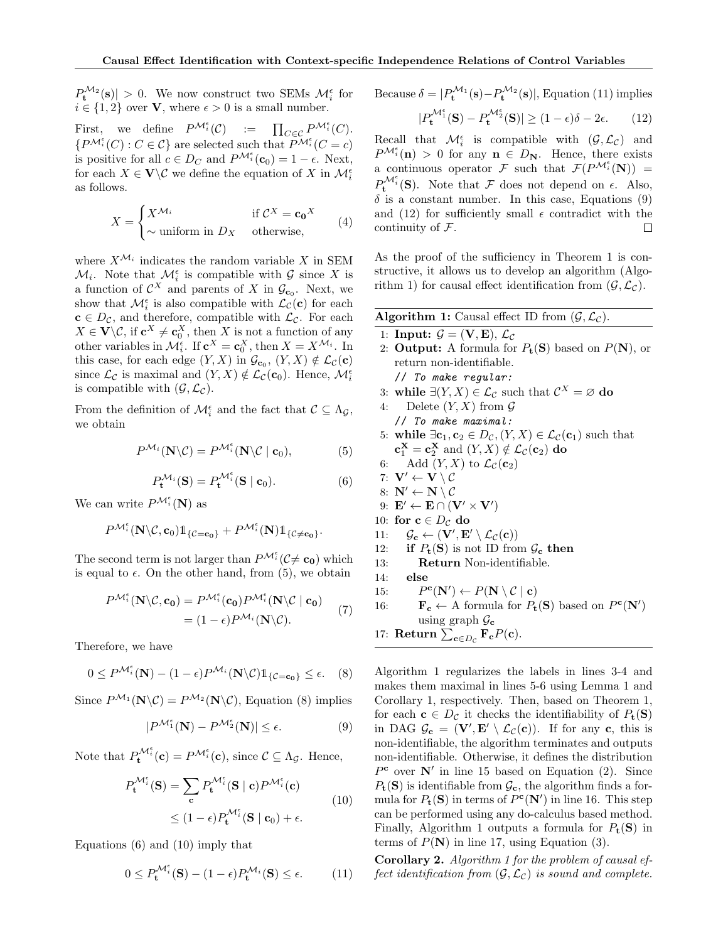$P_t^{\mathcal{M}_2}(\mathbf{s})$  > 0. We now construct two SEMs  $\mathcal{M}_i^{\epsilon}$  for  $i \in \{1,2\}$  over **V**, where  $\epsilon > 0$  is a small number.

First, we define  $P^{\mathcal{M}_{i}^{\epsilon}}(\mathcal{C})$  :=  $\prod_{C \in \mathcal{C}} P^{\mathcal{M}_{i}^{\epsilon}}(C)$ .  ${P^{\mathcal{M}_i^{\epsilon}}(C) : C \in \mathcal{C}}$  are selected such that  $P^{\mathcal{M}_i^{\epsilon}}(C = c)$ is positive for all  $c \in D_C$  and  $P^{\mathcal{M}_{i}^{\epsilon}}(\mathbf{c}_0) = 1 - \epsilon$ . Next, for each  $X \in \mathbf{V} \backslash \mathcal{C}$  we define the equation of X in  $\mathcal{M}_i^{\epsilon}$ as follows.

$$
X = \begin{cases} X^{\mathcal{M}_i} & \text{if } \mathcal{C}^X = \mathbf{c_0}^X \\ \sim \text{uniform in } D_X & \text{otherwise,} \end{cases}
$$
 (4)

where  $X^{\mathcal{M}_i}$  indicates the random variable X in SEM  $\mathcal{M}_i$ . Note that  $\mathcal{M}_i^{\epsilon}$  is compatible with  $\mathcal G$  since X is a function of  $\mathcal{C}^X$  and parents of X in  $\mathcal{G}_{c_0}$ . Next, we show that  $\mathcal{M}_{i}^{\epsilon}$  is also compatible with  $\mathcal{L}_{\mathcal{C}}(\mathbf{c})$  for each  $c \in D_{\mathcal{C}}$ , and therefore, compatible with  $\mathcal{L}_{\mathcal{C}}$ . For each  $X \in \mathbf{V} \backslash \mathcal{C}$ , if  $\mathbf{c}^X \neq \mathbf{c}_0^X$ , then X is not a function of any other variables in  $\mathcal{M}_{i}^{\epsilon}$ . If  $\mathbf{c}^{X} = \mathbf{c}_{0}^{X}$ , then  $X = X^{\mathcal{M}_{i}}$ . In this case, for each edge  $(Y, X)$  in  $\mathcal{G}_{\mathbf{c}_0}$ ,  $(Y, X) \notin \mathcal{L}_{\mathcal{C}}(\mathbf{c})$ since  $\mathcal{L}_{\mathcal{C}}$  is maximal and  $(Y, X) \notin \mathcal{L}_{\mathcal{C}}(\mathbf{c}_0)$ . Hence,  $\mathcal{M}_i^{\epsilon}$ is compatible with  $(\mathcal{G},\mathcal{L}_{\mathcal{C}})$ .

From the definition of  $\mathcal{M}_{i}^{\epsilon}$  and the fact that  $\mathcal{C} \subseteq \Lambda_{\mathcal{G}}$ , we obtain

$$
P^{\mathcal{M}_i}(\mathbf{N}\backslash\mathcal{C})=P^{\mathcal{M}_i^{\epsilon}}(\mathbf{N}\backslash\mathcal{C} \mid \mathbf{c}_0),\tag{5}
$$

$$
P_{\mathbf{t}}^{\mathcal{M}_i}(\mathbf{S}) = P_{\mathbf{t}}^{\mathcal{M}_i^{\epsilon}}(\mathbf{S} \mid \mathbf{c}_0).
$$
 (6)

We can write  $P^{\mathcal{M}_i^{\epsilon}}(\mathbf{N})$  as

$$
P^{\mathcal{M}_{i}^{\epsilon}}(\mathbf{N}\backslash\mathcal{C},\mathbf{c}_{0})\mathbb{1}_{\{\mathcal{C}=\mathbf{c}_{0}\}}+P^{\mathcal{M}_{i}^{\epsilon}}(\mathbf{N})\mathbb{1}_{\{\mathcal{C}\neq\mathbf{c}_{0}\}}.
$$

The second term is not larger than  $P^{\mathcal{M}_{i}^{\epsilon}}(\mathcal{C} \neq \mathbf{c_0})$  which is equal to  $\epsilon$ . On the other hand, from (5), we obtain

$$
P^{\mathcal{M}_{i}^{\epsilon}}(\mathbf{N}\backslash\mathcal{C},\mathbf{c_{0}}) = P^{\mathcal{M}_{i}^{\epsilon}}(\mathbf{c_{0}})P^{\mathcal{M}_{i}^{\epsilon}}(\mathbf{N}\backslash\mathcal{C} \mid \mathbf{c_{0}})
$$
  
=  $(1-\epsilon)P^{\mathcal{M}_{i}}(\mathbf{N}\backslash\mathcal{C}).$  (7)

Therefore, we have

$$
0 \le P^{\mathcal{M}_i^{\epsilon}}(\mathbf{N}) - (1 - \epsilon) P^{\mathcal{M}_i}(\mathbf{N} \backslash \mathcal{C}) \mathbb{1}_{\{\mathcal{C} = \mathbf{c_0}\}} \le \epsilon. \quad (8)
$$

Since  $P^{\mathcal{M}_1}(\mathbf{N}\backslash\mathcal{C})=P^{\mathcal{M}_2}(\mathbf{N}\backslash\mathcal{C})$ , Equation (8) implies

$$
|P^{\mathcal{M}_1^{\epsilon}}(\mathbf{N}) - P^{\mathcal{M}_2^{\epsilon}}(\mathbf{N})| \le \epsilon.
$$
 (9)

Note that  $P_t^{\mathcal{M}_i^{\epsilon}}(\mathbf{c}) = P^{\mathcal{M}_i^{\epsilon}}(\mathbf{c}),$  since  $\mathcal{C} \subseteq \Lambda_{\mathcal{G}}$ . Hence,

$$
P_{\mathbf{t}}^{\mathcal{M}_{i}^{\epsilon}}(\mathbf{S}) = \sum_{\mathbf{c}} P_{\mathbf{t}}^{\mathcal{M}_{i}^{\epsilon}}(\mathbf{S} \mid \mathbf{c}) P^{\mathcal{M}_{i}^{\epsilon}}(\mathbf{c})
$$
  
 
$$
\leq (1 - \epsilon) P_{\mathbf{t}}^{\mathcal{M}_{i}^{\epsilon}}(\mathbf{S} \mid \mathbf{c}_{0}) + \epsilon.
$$
 (10)

Equations (6) and (10) imply that

$$
0 \le P_{\mathbf{t}}^{\mathcal{M}_i^{\epsilon}}(\mathbf{S}) - (1 - \epsilon) P_{\mathbf{t}}^{\mathcal{M}_i}(\mathbf{S}) \le \epsilon. \tag{11}
$$

Because 
$$
\delta = |P_t^{\mathcal{M}_1}(\mathbf{s}) - P_t^{\mathcal{M}_2}(\mathbf{s})|
$$
, Equation (11) implies  

$$
|P_t^{\mathcal{M}_1^{\epsilon}}(\mathbf{S}) - P_t^{\mathcal{M}_2^{\epsilon}}(\mathbf{S})| \ge (1 - \epsilon)\delta - 2\epsilon.
$$
 (12)

Recall that  $\mathcal{M}_{i}^{\epsilon}$  is compatible with  $(\mathcal{G}, \mathcal{L}_{\mathcal{C}})$  and  $P^{\mathcal{M}_{i}^{\epsilon}}(\mathbf{n}) > 0$  for any  $\mathbf{n} \in D_{\mathbf{N}}$ . Hence, there exists a continuous operator F such that  $\mathcal{F}(P^{\mathcal{M}_{i}^{\epsilon}}(\mathbf{N}))$  =  $P_t^{\mathcal{M}_i^{\epsilon}}(\mathbf{S})$ . Note that F does not depend on  $\epsilon$ . Also,  $\delta$  is a constant number. In this case, Equations (9) and (12) for sufficiently small  $\epsilon$  contradict with the continuity of  $\mathcal{F}$ . П

As the proof of the sufficiency in Theorem 1 is constructive, it allows us to develop an algorithm (Algorithm 1) for causal effect identification from  $(\mathcal{G},\mathcal{L}_{\mathcal{C}})$ .

| <b>Algorithm 1:</b> Causal effect ID from $(\mathcal{G}, \mathcal{L}_{\mathcal{C}})$ . |  |  |  |  |  |  |  |
|----------------------------------------------------------------------------------------|--|--|--|--|--|--|--|
|----------------------------------------------------------------------------------------|--|--|--|--|--|--|--|

- 1: Input:  $\mathcal{G} = (\mathbf{V}, \mathbf{E}), \mathcal{L}_{\mathcal{C}}$
- 2: **Output:** A formula for  $P_t(\mathbf{S})$  based on  $P(\mathbf{N})$ , or return non-identifiable. // To make regular:

3: while 
$$
\exists
$$
(*Y*, *X*)  $\in$  *L*<sub>*C*</sub> such that *C*<sup>*X*</sup> =  $\emptyset$  do

- 4: Delete  $(Y, X)$  from  $\mathcal G$ // To make maximal:
- 5: while  $\exists c_1, c_2 \in D_{\mathcal{C}}, (Y, X) \in \mathcal{L}_{\mathcal{C}}(c_1)$  such that  $\mathbf{c}_1^{\mathbf{X}} = \mathbf{c}_2^{\mathbf{X}}$  and  $(Y, X) \notin \mathcal{L}_{\mathcal{C}}(\mathbf{c}_2)$  do
- 6: Add  $(Y, X)$  to  $\mathcal{L}_{\mathcal{C}}(\mathbf{c}_2)$
- 7:  $\mathbf{V}' \leftarrow \mathbf{V} \setminus \mathcal{C}$
- 8:  $\mathbf{N}' \leftarrow \mathbf{N} \setminus \mathcal{C}$
- 9:  $\mathbf{E}' \leftarrow \mathbf{E} \cap (\mathbf{V}' \times \mathbf{V}')$
- 10: for  $\mathbf{c} \in D_{\mathcal{C}}$  do
- 11:  $\mathcal{G}_{\mathbf{c}} \leftarrow (\mathbf{V}', \mathbf{E}' \setminus \mathcal{L}_{\mathcal{C}}(\mathbf{c}))$
- 12: if  $P_t(S)$  is not ID from  $\mathcal{G}_c$  then

13: Return Non-identifiable.

- 14: else
- 15:  $\mathbf{c}(\mathbf{N}') \leftarrow P(\mathbf{N} \setminus \mathcal{C} \mid \mathbf{c})$
- 16:  $\mathbf{F_c} \leftarrow \text{ A formula for } P_t(\mathbf{S}) \text{ based on } P^c(\mathbf{N}')$ using graph  $\mathcal{G}_{\mathbf{c}}$
- 17: Return  $\sum_{\mathbf{c}\in D_{\mathcal{C}}} \mathbf{F}_{\mathbf{c}}P(\mathbf{c})$ .

Algorithm 1 regularizes the labels in lines 3-4 and makes them maximal in lines 5-6 using Lemma 1 and Corollary 1, respectively. Then, based on Theorem 1, for each  $c \in D_{\mathcal{C}}$  it checks the identifiability of  $P_{t}(S)$ in DAG  $\mathcal{G}_{\mathbf{c}} = (\mathbf{V}', \mathbf{E}' \setminus \mathcal{L}_{\mathcal{C}}(\mathbf{c}))$ . If for any **c**, this is non-identifiable, the algorithm terminates and outputs non-identifiable. Otherwise, it defines the distribution  $P^{\rm c}$  over  $\bf N'$  in line 15 based on Equation (2). Since  $P_{\mathbf{t}}(\mathbf{S})$  is identifiable from  $\mathcal{G}_{\mathbf{c}}$ , the algorithm finds a formula for  $P_{t}(S)$  in terms of  $P^{c}(N')$  in line 16. This step can be performed using any do-calculus based method. Finally, Algorithm 1 outputs a formula for  $P_t(\mathbf{S})$  in terms of  $P(N)$  in line 17, using Equation (3).

Corollary 2. Algorithm 1 for the problem of causal effect identification from  $(\mathcal{G}, \mathcal{L}_{\mathcal{C}})$  is sound and complete.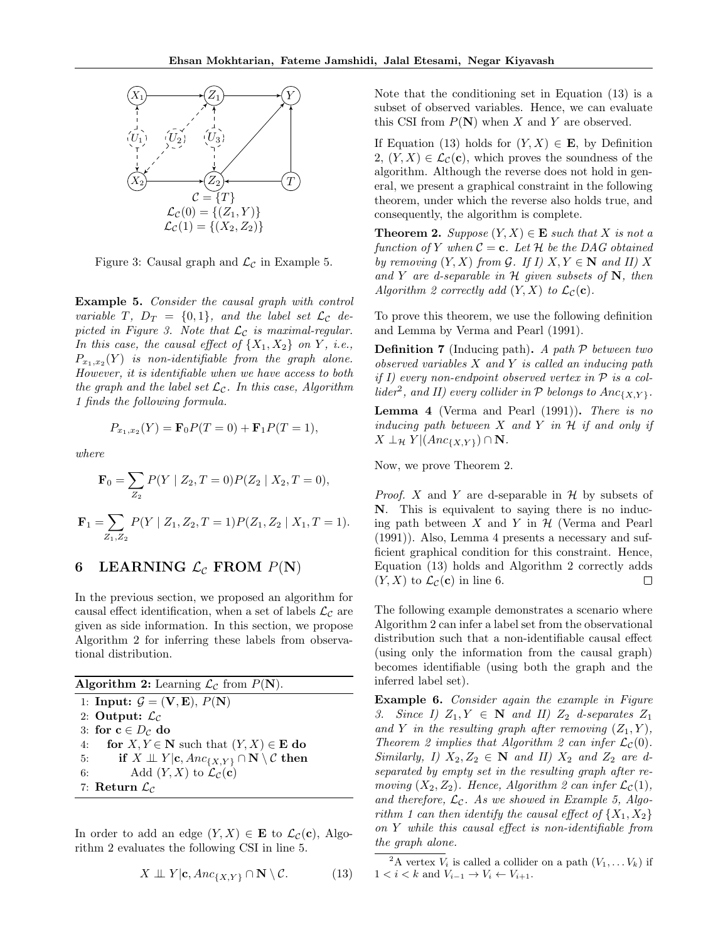

Figure 3: Causal graph and  $\mathcal{L}_{\mathcal{C}}$  in Example 5.

Example 5. Consider the causal graph with control variable T,  $D_T = \{0,1\}$ , and the label set  $\mathcal{L}_C$  depicted in Figure 3. Note that  $\mathcal{L}_{\mathcal{C}}$  is maximal-regular. In this case, the causal effect of  $\{X_1, X_2\}$  on Y, i.e.,  $P_{x_1,x_2}(Y)$  is non-identifiable from the graph alone. However, it is identifiable when we have access to both the graph and the label set  $\mathcal{L}_{\mathcal{C}}$ . In this case, Algorithm 1 finds the following formula.

$$
P_{x_1,x_2}(Y) = \mathbf{F}_0 P(T=0) + \mathbf{F}_1 P(T=1),
$$

where

$$
\mathbf{F}_0 = \sum_{Z_2} P(Y | Z_2, T = 0) P(Z_2 | X_2, T = 0),
$$
  

$$
\mathbf{F}_1 = \sum_{Z_1, Z_2} P(Y | Z_1, Z_2, T = 1) P(Z_1, Z_2 | X_1, T = 1).
$$

## 6 LEARNING  $\mathcal{L}_{\mathcal{C}}$  FROM  $P(N)$

In the previous section, we proposed an algorithm for causal effect identification, when a set of labels  $\mathcal{L}_{\mathcal{C}}$  are given as side information. In this section, we propose Algorithm 2 for inferring these labels from observational distribution.

Algorithm 2: Learning  $\mathcal{L}_{\mathcal{C}}$  from  $P(\mathbf{N})$ . 1: Input:  $\mathcal{G} = (\mathbf{V}, \mathbf{E}), P(\mathbf{N})$ 2: Output:  $\mathcal{L}_{\mathcal{C}}$ 3: for  $c \in D_{\mathcal{C}}$  do 4: for  $X, Y \in \mathbb{N}$  such that  $(Y, X) \in \mathbb{E}$  do 5: if  $X \perp \!\!\! \perp Y | \mathbf{c}, Anc_{\{X,Y\}} \cap \mathbf{N} \setminus \mathcal{C}$  then 6: Add  $(Y, X)$  to  $\mathcal{L}_{\mathcal{C}}(\mathbf{c})$ 7: Return  $\mathcal{L}_{\mathcal{C}}$ 

In order to add an edge  $(Y, X) \in \mathbf{E}$  to  $\mathcal{L}_{\mathcal{C}}(\mathbf{c})$ , Algorithm 2 evaluates the following CSI in line 5.

$$
X \perp\!\!\!\perp Y|\mathbf{c}, \textit{Anc}_{\{X, Y\}} \cap \mathbf{N} \setminus \mathcal{C}.
$$
 (13)

Note that the conditioning set in Equation (13) is a subset of observed variables. Hence, we can evaluate this CSI from  $P(N)$  when X and Y are observed.

If Equation (13) holds for  $(Y, X) \in \mathbf{E}$ , by Definition 2,  $(Y, X) \in \mathcal{L}_{\mathcal{C}}(\mathbf{c})$ , which proves the soundness of the algorithm. Although the reverse does not hold in general, we present a graphical constraint in the following theorem, under which the reverse also holds true, and consequently, the algorithm is complete.

**Theorem 2.** Suppose  $(Y, X) \in \mathbf{E}$  such that X is not a function of Y when  $C = c$ . Let H be the DAG obtained by removing  $(Y, X)$  from  $\mathcal{G}$ . If I)  $X, Y \in \mathbb{N}$  and II) X and Y are d-separable in  $H$  given subsets of N, then Algorithm 2 correctly add  $(Y, X)$  to  $\mathcal{L}_{\mathcal{C}}(\mathbf{c})$ .

To prove this theorem, we use the following definition and Lemma by Verma and Pearl (1991).

**Definition 7** (Inducing path). A path  $P$  between two observed variables X and Y is called an inducing path if I) every non-endpoint observed vertex in  $P$  is a collider<sup>2</sup>, and II) every collider in  $P$  belongs to  $Anc_{\{X,Y\}}$ .

Lemma 4 (Verma and Pearl (1991)). There is no inducing path between  $X$  and  $Y$  in  $H$  if and only if  $X \perp_{\mathcal{H}} Y | (Anc_{\{X,Y\}}) \cap \mathbf{N}.$ 

Now, we prove Theorem 2.

*Proof.* X and Y are d-separable in  $H$  by subsets of N. This is equivalent to saying there is no inducing path between  $X$  and  $Y$  in  $H$  (Verma and Pearl (1991)). Also, Lemma 4 presents a necessary and sufficient graphical condition for this constraint. Hence, Equation (13) holds and Algorithm 2 correctly adds  $(Y, X)$  to  $\mathcal{L}_{\mathcal{C}}(\mathbf{c})$  in line 6. П

The following example demonstrates a scenario where Algorithm 2 can infer a label set from the observational distribution such that a non-identifiable causal effect (using only the information from the causal graph) becomes identifiable (using both the graph and the inferred label set).

Example 6. Consider again the example in Figure 3. Since I)  $Z_1, Y \in \mathbb{N}$  and II)  $Z_2$  d-separates  $Z_1$ and Y in the resulting graph after removing  $(Z_1, Y)$ , Theorem 2 implies that Algorithm 2 can infer  $\mathcal{L}_{\mathcal{C}}(0)$ . Similarly, I)  $X_2, Z_2 \in \mathbb{N}$  and II)  $X_2$  and  $Z_2$  are dseparated by empty set in the resulting graph after removing  $(X_2, Z_2)$ . Hence, Algorithm 2 can infer  $\mathcal{L}_{\mathcal{C}}(1)$ , and therefore,  $\mathcal{L}_{\mathcal{C}}$ . As we showed in Example 5, Algorithm 1 can then identify the causal effect of  $\{X_1, X_2\}$ on Y while this causal effect is non-identifiable from the graph alone.

<sup>2</sup>A vertex  $V_i$  is called a collider on a path  $(V_1, \ldots V_k)$  if  $1 < i < k$  and  $V_{i-1} \rightarrow V_i \leftarrow V_{i+1}$ .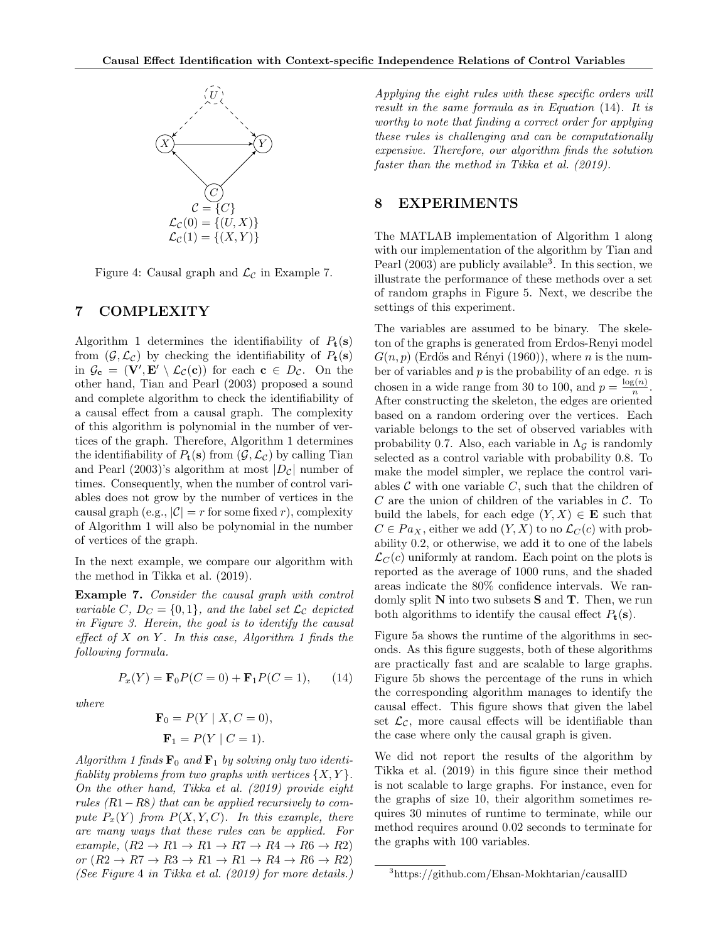

Figure 4: Causal graph and  $\mathcal{L}_{\mathcal{C}}$  in Example 7.

## 7 COMPLEXITY

Algorithm 1 determines the identifiability of  $P_t(\mathbf{s})$ from  $(\mathcal{G},\mathcal{L}_{\mathcal{C}})$  by checking the identifiability of  $P_{\mathbf{t}}(\mathbf{s})$ in  $\mathcal{G}_{\mathbf{c}} = (\mathbf{V}', \mathbf{E}' \setminus \mathcal{L}_{\mathcal{C}}(\mathbf{c}))$  for each  $\mathbf{c} \in D_{\mathcal{C}}$ . On the other hand, Tian and Pearl (2003) proposed a sound and complete algorithm to check the identifiability of a causal effect from a causal graph. The complexity of this algorithm is polynomial in the number of vertices of the graph. Therefore, Algorithm 1 determines the identifiability of  $P_t(\mathbf{s})$  from  $(\mathcal{G}, \mathcal{L}_{\mathcal{C}})$  by calling Tian and Pearl (2003)'s algorithm at most  $|D_{\mathcal{C}}|$  number of times. Consequently, when the number of control variables does not grow by the number of vertices in the causal graph (e.g.,  $|\mathcal{C}| = r$  for some fixed r), complexity of Algorithm 1 will also be polynomial in the number of vertices of the graph.

In the next example, we compare our algorithm with the method in Tikka et al. (2019).

Example 7. Consider the causal graph with control variable C,  $D_C = \{0, 1\}$ , and the label set  $\mathcal{L}_C$  depicted in Figure 3. Herein, the goal is to identify the causal effect of  $X$  on  $Y$ . In this case, Algorithm 1 finds the following formula.

$$
P_x(Y) = \mathbf{F}_0 P(C = 0) + \mathbf{F}_1 P(C = 1), \qquad (14)
$$

where

$$
\mathbf{F}_0 = P(Y | X, C = 0), \n\mathbf{F}_1 = P(Y | C = 1).
$$

Algorithm 1 finds  $\mathbf{F}_0$  and  $\mathbf{F}_1$  by solving only two identifiablity problems from two graphs with vertices  $\{X, Y\}$ . On the other hand, Tikka et al. (2019) provide eight rules  $(R1-R8)$  that can be applied recursively to compute  $P_x(Y)$  from  $P(X, Y, C)$ . In this example, there are many ways that these rules can be applied. For example,  $(R2 \rightarrow R1 \rightarrow R1 \rightarrow R7 \rightarrow R4 \rightarrow R6 \rightarrow R2)$ or  $(R2 \rightarrow R7 \rightarrow R3 \rightarrow R1 \rightarrow R1 \rightarrow R4 \rightarrow R6 \rightarrow R2)$ (See Figure 4 in Tikka et al. (2019) for more details.)

Applying the eight rules with these specific orders will result in the same formula as in Equation (14). It is worthy to note that finding a correct order for applying these rules is challenging and can be computationally expensive. Therefore, our algorithm finds the solution faster than the method in Tikka et al. (2019).

## 8 EXPERIMENTS

The MATLAB implementation of Algorithm 1 along with our implementation of the algorithm by Tian and Pearl (2003) are publicly available<sup>3</sup>. In this section, we illustrate the performance of these methods over a set of random graphs in Figure 5. Next, we describe the settings of this experiment.

The variables are assumed to be binary. The skeleton of the graphs is generated from Erdos-Renyi model  $G(n, p)$  (Erdős and Rényi (1960)), where n is the number of variables and  $p$  is the probability of an edge.  $n$  is chosen in a wide range from 30 to 100, and  $p = \frac{\log(n)}{n}$  $\frac{\zeta(n)}{n}$ . After constructing the skeleton, the edges are oriented based on a random ordering over the vertices. Each variable belongs to the set of observed variables with probability 0.7. Also, each variable in  $\Lambda_{\mathcal{G}}$  is randomly selected as a control variable with probability 0.8. To make the model simpler, we replace the control variables  $\mathcal C$  with one variable  $C$ , such that the children of  $C$  are the union of children of the variables in  $C$ . To build the labels, for each edge  $(Y, X) \in \mathbf{E}$  such that  $C \in Pa_X$ , either we add  $(Y, X)$  to no  $\mathcal{L}_C(c)$  with probability 0.2, or otherwise, we add it to one of the labels  $\mathcal{L}_C(c)$  uniformly at random. Each point on the plots is reported as the average of 1000 runs, and the shaded areas indicate the 80% confidence intervals. We randomly split  $N$  into two subsets  $S$  and  $T$ . Then, we run both algorithms to identify the causal effect  $P_t(\mathbf{s})$ .

Figure 5a shows the runtime of the algorithms in seconds. As this figure suggests, both of these algorithms are practically fast and are scalable to large graphs. Figure 5b shows the percentage of the runs in which the corresponding algorithm manages to identify the causal effect. This figure shows that given the label set  $\mathcal{L}_{\mathcal{C}}$ , more causal effects will be identifiable than the case where only the causal graph is given.

We did not report the results of the algorithm by Tikka et al. (2019) in this figure since their method is not scalable to large graphs. For instance, even for the graphs of size 10, their algorithm sometimes requires 30 minutes of runtime to terminate, while our method requires around 0.02 seconds to terminate for the graphs with 100 variables.

<sup>3</sup>https://github.com/Ehsan-Mokhtarian/causalID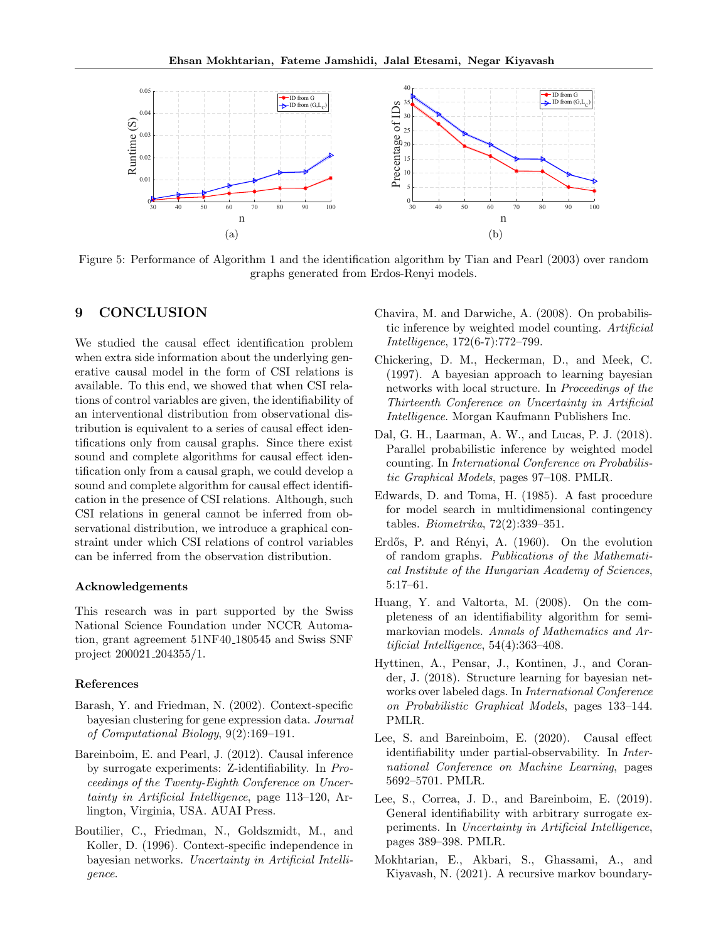

Figure 5: Performance of Algorithm 1 and the identification algorithm by Tian and Pearl (2003) over random graphs generated from Erdos-Renyi models.

## 9 CONCLUSION

We studied the causal effect identification problem when extra side information about the underlying generative causal model in the form of CSI relations is available. To this end, we showed that when CSI relations of control variables are given, the identifiability of an interventional distribution from observational distribution is equivalent to a series of causal effect identifications only from causal graphs. Since there exist sound and complete algorithms for causal effect identification only from a causal graph, we could develop a sound and complete algorithm for causal effect identification in the presence of CSI relations. Although, such CSI relations in general cannot be inferred from observational distribution, we introduce a graphical constraint under which CSI relations of control variables can be inferred from the observation distribution.

#### Acknowledgements

This research was in part supported by the Swiss National Science Foundation under NCCR Automation, grant agreement 51NF40 180545 and Swiss SNF project 200021 204355/1.

#### References

- Barash, Y. and Friedman, N. (2002). Context-specific bayesian clustering for gene expression data. Journal of Computational Biology, 9(2):169–191.
- Bareinboim, E. and Pearl, J. (2012). Causal inference by surrogate experiments: Z-identifiability. In Proceedings of the Twenty-Eighth Conference on Uncertainty in Artificial Intelligence, page 113–120, Arlington, Virginia, USA. AUAI Press.
- Boutilier, C., Friedman, N., Goldszmidt, M., and Koller, D. (1996). Context-specific independence in bayesian networks. Uncertainty in Artificial Intelligence.
- Chavira, M. and Darwiche, A. (2008). On probabilistic inference by weighted model counting. Artificial Intelligence, 172(6-7):772–799.
- Chickering, D. M., Heckerman, D., and Meek, C. (1997). A bayesian approach to learning bayesian networks with local structure. In Proceedings of the Thirteenth Conference on Uncertainty in Artificial Intelligence. Morgan Kaufmann Publishers Inc.
- Dal, G. H., Laarman, A. W., and Lucas, P. J. (2018). Parallel probabilistic inference by weighted model counting. In International Conference on Probabilistic Graphical Models, pages 97–108. PMLR.
- Edwards, D. and Toma, H. (1985). A fast procedure for model search in multidimensional contingency tables. Biometrika, 72(2):339–351.
- Erdős, P. and Rényi, A. (1960). On the evolution of random graphs. Publications of the Mathematical Institute of the Hungarian Academy of Sciences, 5:17–61.
- Huang, Y. and Valtorta, M. (2008). On the completeness of an identifiability algorithm for semimarkovian models. Annals of Mathematics and Artificial Intelligence, 54(4):363–408.
- Hyttinen, A., Pensar, J., Kontinen, J., and Corander, J. (2018). Structure learning for bayesian networks over labeled dags. In International Conference on Probabilistic Graphical Models, pages 133–144. PMLR.
- Lee, S. and Bareinboim, E. (2020). Causal effect identifiability under partial-observability. In International Conference on Machine Learning, pages 5692–5701. PMLR.
- Lee, S., Correa, J. D., and Bareinboim, E. (2019). General identifiability with arbitrary surrogate experiments. In Uncertainty in Artificial Intelligence, pages 389–398. PMLR.
- Mokhtarian, E., Akbari, S., Ghassami, A., and Kiyavash, N. (2021). A recursive markov boundary-